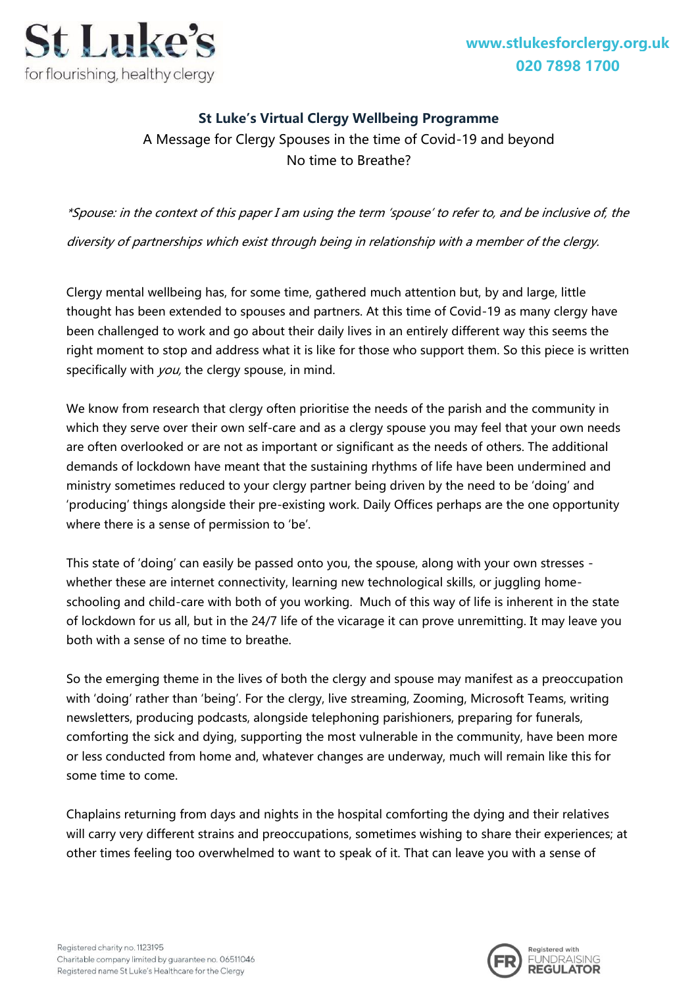**[www.stlukesforclergy.org.uk](http://www.stlukesforclergy.org.uk/) 020 7898 1700**



## **St Luke's Virtual Clergy Wellbeing Programme**

A Message for Clergy Spouses in the time of Covid-19 and beyond No time to Breathe?

\*Spouse: in the context of this paper I am using the term 'spouse' to refer to, and be inclusive of, the diversity of partnerships which exist through being in relationship with a member of the clergy.

Clergy mental wellbeing has, for some time, gathered much attention but, by and large, little thought has been extended to spouses and partners. At this time of Covid-19 as many clergy have been challenged to work and go about their daily lives in an entirely different way this seems the right moment to stop and address what it is like for those who support them. So this piece is written specifically with  $you$ , the clergy spouse, in mind.

We know from research that clergy often prioritise the needs of the parish and the community in which they serve over their own self-care and as a clergy spouse you may feel that your own needs are often overlooked or are not as important or significant as the needs of others. The additional demands of lockdown have meant that the sustaining rhythms of life have been undermined and ministry sometimes reduced to your clergy partner being driven by the need to be 'doing' and 'producing' things alongside their pre-existing work. Daily Offices perhaps are the one opportunity where there is a sense of permission to 'be'.

This state of 'doing' can easily be passed onto you, the spouse, along with your own stresses whether these are internet connectivity, learning new technological skills, or juggling homeschooling and child-care with both of you working. Much of this way of life is inherent in the state of lockdown for us all, but in the 24/7 life of the vicarage it can prove unremitting. It may leave you both with a sense of no time to breathe.

So the emerging theme in the lives of both the clergy and spouse may manifest as a preoccupation with 'doing' rather than 'being'. For the clergy, live streaming, Zooming, Microsoft Teams, writing newsletters, producing podcasts, alongside telephoning parishioners, preparing for funerals, comforting the sick and dying, supporting the most vulnerable in the community, have been more or less conducted from home and, whatever changes are underway, much will remain like this for some time to come.

Chaplains returning from days and nights in the hospital comforting the dying and their relatives will carry very different strains and preoccupations, sometimes wishing to share their experiences; at other times feeling too overwhelmed to want to speak of it. That can leave you with a sense of